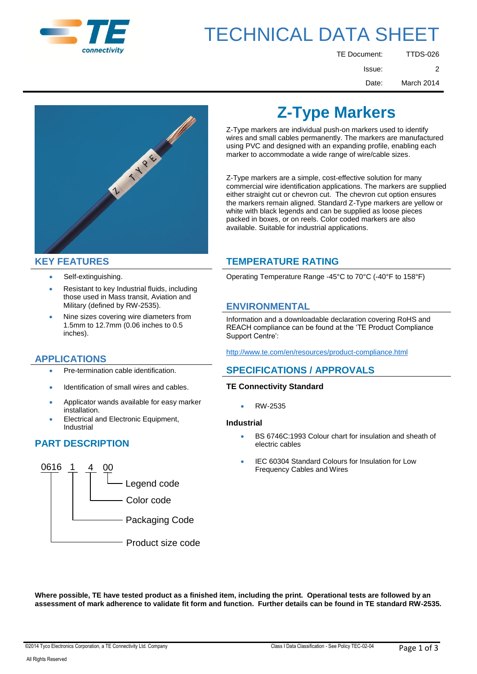

# TECHNICAL DATA SHEET

| <b>TTDS-026</b> | <b>TE Document:</b> |
|-----------------|---------------------|
| 2               | Issue:              |
| March 2014      | Date:               |



- 
- Resistant to key Industrial fluids, including those used in Mass transit, Aviation and Military (defined by RW-2535). **ENVIRONMENTAL**
- Nine sizes covering wire diameters from 1.5mm to 12.7mm (0.06 inches to 0.5 inches).

## **APPLICATIONS**

- 
- Identification of small wires and cables. **TE Connectivity Standard**
- Applicator wands available for easy marker installation. RW-2535
- Electrical and Electronic Equipment, Industrial **Industrial**

## **PART DESCRIPTION**



## **Z-Type Markers**

Z-Type markers are individual push-on markers used to identify wires and small cables permanently. The markers are manufactured using PVC and designed with an expanding profile, enabling each marker to accommodate a wide range of wire/cable sizes.

Z-Type markers are a simple, cost-effective solution for many commercial wire identification applications. The markers are supplied either straight cut or chevron cut. The chevron cut option ensures the markers remain aligned. Standard Z-Type markers are yellow or white with black legends and can be supplied as loose pieces packed in boxes, or on reels. Color coded markers are also available. Suitable for industrial applications.

## **KEY FEATURES TEMPERATURE RATING**

Self-extinguishing. Operating Temperature Range -45°C to 70°C (-40°F to 158°F)

Information and a downloadable declaration covering RoHS and REACH compliance can be found at the 'TE Product Compliance Support Centre':

<http://www.te.com/en/resources/product-compliance.html>

## Pre-termination cable identification. **SPECIFICATIONS / APPROVALS**

- BS 6746C:1993 Colour chart for insulation and sheath of electric cables
- IEC 60304 Standard Colours for Insulation for Low Frequency Cables and Wires

**Where possible, TE have tested product as a finished item, including the print. Operational tests are followed by an assessment of mark adherence to validate fit form and function. Further details can be found in TE standard RW-2535.**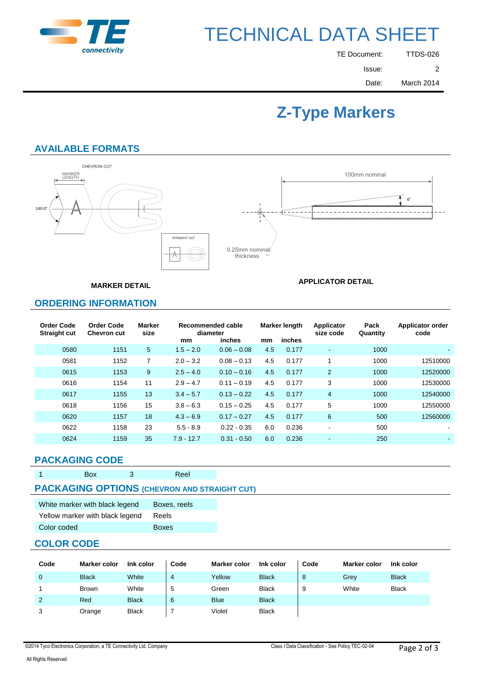

# TECHNICAL DATA SHEET

| <b>TTDS-026</b> | TE Document: |
|-----------------|--------------|
| 2               | Issue:       |
| March 2014      | Date:        |

## **Z-Type Markers**

**APPLICATOR DETAIL**

## **AVAILABLE FORMATS**



**MARKER DETAIL**

## **ORDERING INFORMATION**

| <b>Order Code</b><br><b>Straight cut</b> | <b>Order Code</b><br><b>Chevron cut</b> | Marker<br>size |              | Recommended cable<br>diameter |     | Marker length | Applicator<br>size code | Pack<br>Quantity | Applicator order<br>code |
|------------------------------------------|-----------------------------------------|----------------|--------------|-------------------------------|-----|---------------|-------------------------|------------------|--------------------------|
|                                          |                                         |                | mm           | inches                        | mm  | inches        |                         |                  |                          |
| 0580                                     | 1151                                    | 5              | $1.5 - 2.0$  | $0.06 - 0.08$                 | 4.5 | 0.177         | $\sim$                  | 1000             | $\sim$                   |
| 0581                                     | 1152                                    | $\overline{7}$ | $2.0 - 3.2$  | $0.08 - 0.13$                 | 4.5 | 0.177         |                         | 1000             | 12510000                 |
| 0615                                     | 1153                                    | 9              | $2.5 - 4.0$  | $0.10 - 0.16$                 | 4.5 | 0.177         | 2                       | 1000             | 12520000                 |
| 0616                                     | 1154                                    | 11             | $2.9 - 4.7$  | $0.11 - 0.19$                 | 4.5 | 0.177         | 3                       | 1000             | 12530000                 |
| 0617                                     | 1155                                    | 13             | $3.4 - 5.7$  | $0.13 - 0.22$                 | 4.5 | 0.177         | $\overline{4}$          | 1000             | 12540000                 |
| 0618                                     | 1156                                    | 15             | $3.8 - 6.3$  | $0.15 - 0.25$                 | 4.5 | 0.177         | 5                       | 1000             | 12550000                 |
| 0620                                     | 1157                                    | 18             | $4.3 - 6.9$  | $0.17 - 0.27$                 | 4.5 | 0.177         | 6                       | 500              | 12560000                 |
| 0622                                     | 1158                                    | 23             | $5.5 - 8.9$  | $0.22 - 0.35$                 | 6.0 | 0.236         | $\,$                    | 500              | ۰.                       |
| 0624                                     | 1159                                    | 35             | $7.9 - 12.7$ | $0.31 - 0.50$                 | 6.0 | 0.236         |                         | 250              |                          |

### **PACKAGING CODE**

| <b>Box</b> | Reel                                                |  |
|------------|-----------------------------------------------------|--|
|            | <b>PACKAGING OPTIONS (CHEVRON AND STRAIGHT CUT)</b> |  |

| White marker with black legend  | Boxes, reels |
|---------------------------------|--------------|
| Yellow marker with black legend | Reels        |
| Color coded                     | <b>Boxes</b> |

### **COLOR CODE**

| Code | <b>Marker color</b> | Ink color    | Code | <b>Marker color</b> | Ink color    | Code | <b>Marker color</b> | Ink color    |
|------|---------------------|--------------|------|---------------------|--------------|------|---------------------|--------------|
| 0    | <b>Black</b>        | White        | ↵    | Yellow              | <b>Black</b> | 8    | Grey                | <b>Black</b> |
|      | <b>Brown</b>        | White        | Ð    | Green               | <b>Black</b> | 9    | White               | <b>Black</b> |
| 2    | Red                 | <b>Black</b> | 6    | <b>Blue</b>         | <b>Black</b> |      |                     |              |
| 3    | Orange              | <b>Black</b> |      | Violet              | <b>Black</b> |      |                     |              |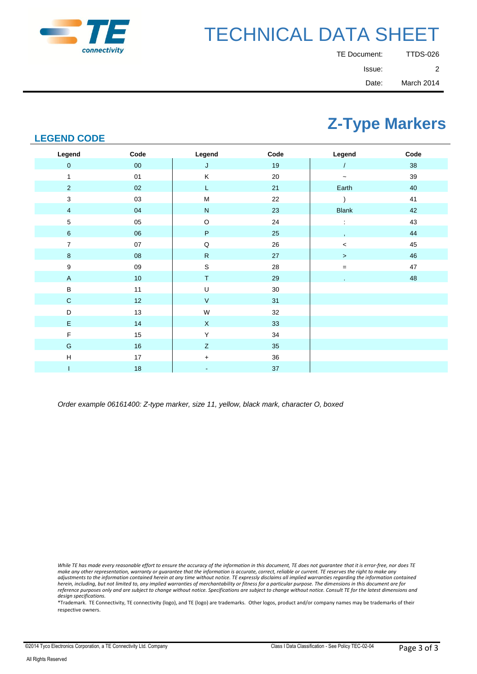

# TECHNICAL DATA SHEET

| TE Document: | TTDS-026   |
|--------------|------------|
| Issue:       | 2          |
| Date:        | March 2014 |

## **Z-Type Markers**

## **LEGEND CODE**

| Legend                  | Code       | Legend       | Code   | Legend       | Code   |
|-------------------------|------------|--------------|--------|--------------|--------|
| $\pmb{0}$               | ${\bf 00}$ | J            | 19     |              | 38     |
| 1                       | $01$       | Κ            | $20\,$ | $\tilde{}$   | 39     |
| $\sqrt{2}$              | $02\,$     | L.           | 21     | Earth        | 40     |
| $\mathbf 3$             | 03         | ${\sf M}$    | 22     |              | 41     |
| $\overline{\mathbf{4}}$ | 04         | ${\sf N}$    | 23     | <b>Blank</b> | 42     |
| 5                       | 05         | $\mathsf O$  | 24     |              | 43     |
| $\,6\,$                 | 06         | $\sf P$      | 25     |              | 44     |
| $\boldsymbol{7}$        | $07\,$     | $\mathsf Q$  | 26     | $\,<$        | 45     |
| $\bf 8$                 | ${\bf 08}$ | ${\sf R}$    | 27     | $\, >$       | 46     |
| $\boldsymbol{9}$        | $09\,$     | $\mathsf S$  | $28\,$ | $=$          | $47\,$ |
| $\mathsf A$             | $10$       | T            | 29     |              | 48     |
| $\sf B$                 | 11         | U            | $30\,$ |              |        |
| $\mathbf C$             | 12         | $\mathsf{V}$ | 31     |              |        |
| $\mathsf D$             | 13         | W            | 32     |              |        |
| $\mathsf E$             | 14         | $\mathsf X$  | 33     |              |        |
| $\mathsf F$             | 15         | Υ            | 34     |              |        |
| $\mathsf G$             | 16         | $\mathsf Z$  | 35     |              |        |
| $\sf H$                 | 17         | $+$          | 36     |              |        |
| T                       | 18         | ٠            | $37\,$ |              |        |

*Order example 06161400: Z-type marker, size 11, yellow, black mark, character O, boxed*

While TE has made every reasonable effort to ensure the accuracy of the information in this document, TE does not guarantee that it is error-free, nor does TE<br>make any other representation, warranty or guarantee that the i *herein, including, but not limited to, any implied warranties of merchantability or fitness for a particular purpose. The dimensions in this document are for reference purposes only and are subject to change without notice. Specifications are subject to change without notice. Consult TE for the latest dimensions and design specifications.*

\*Trademark. TE Connectivity, TE connectivity (logo), and TE (logo) are trademarks. Other logos, product and/or company names may be trademarks of their respective owners.